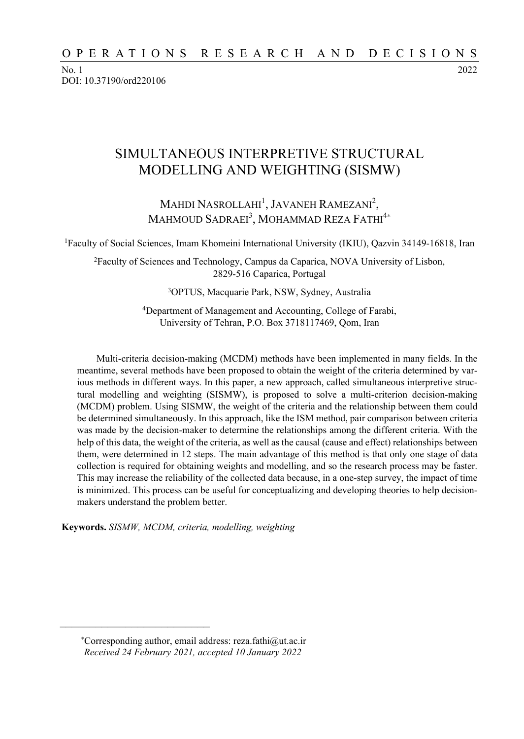No. 1 2022 DOI: 10.37190/ord220106

# SIMULTANEOUS INTERPRETIVE STRUCTURAL MODELLING AND WEIGHTING (SISMW)

## MAHDI NASROLLAHI<sup>1</sup>, JAVANEH RAMEZANI<sup>2</sup>, Mahmoud Sadraei $^3$ , Mohammad Reza Fathi $^{4\ast}$

1Faculty of Social Sciences, Imam Khomeini International University (IKIU), Qazvin 34149-16818, Iran

2Faculty of Sciences and Technology, Campus da Caparica, NOVA University of Lisbon, 2829-516 Caparica, Portugal

3OPTUS, Macquarie Park, NSW, Sydney, Australia

4Department of Management and Accounting, College of Farabi, University of Tehran, P.O. Box 3718117469, Qom, Iran

Multi-criteria decision-making (MCDM) methods have been implemented in many fields. In the meantime, several methods have been proposed to obtain the weight of the criteria determined by various methods in different ways. In this paper, a new approach, called simultaneous interpretive structural modelling and weighting (SISMW), is proposed to solve a multi-criterion decision-making (MCDM) problem. Using SISMW, the weight of the criteria and the relationship between them could be determined simultaneously. In this approach, like the ISM method, pair comparison between criteria was made by the decision-maker to determine the relationships among the different criteria. With the help of this data, the weight of the criteria, as well as the causal (cause and effect) relationships between them, were determined in 12 steps. The main advantage of this method is that only one stage of data collection is required for obtaining weights and modelling, and so the research process may be faster. This may increase the reliability of the collected data because, in a one-step survey, the impact of time is minimized. This process can be useful for conceptualizing and developing theories to help decisionmakers understand the problem better.

**Keywords.** *SISMW, MCDM, criteria, modelling, weighting* 

 $\frac{1}{\sqrt{2}}$  ,  $\frac{1}{\sqrt{2}}$  ,  $\frac{1}{\sqrt{2}}$  ,  $\frac{1}{\sqrt{2}}$  ,  $\frac{1}{\sqrt{2}}$  ,  $\frac{1}{\sqrt{2}}$  ,  $\frac{1}{\sqrt{2}}$  ,  $\frac{1}{\sqrt{2}}$  ,  $\frac{1}{\sqrt{2}}$  ,  $\frac{1}{\sqrt{2}}$  ,  $\frac{1}{\sqrt{2}}$  ,  $\frac{1}{\sqrt{2}}$  ,  $\frac{1}{\sqrt{2}}$  ,  $\frac{1}{\sqrt{2}}$  ,  $\frac{1}{\sqrt{2}}$ 

<sup>∗</sup>Corresponding author, email address: reza.fathi@ut.ac.ir *Received 24 February 2021, accepted 10 January 2022*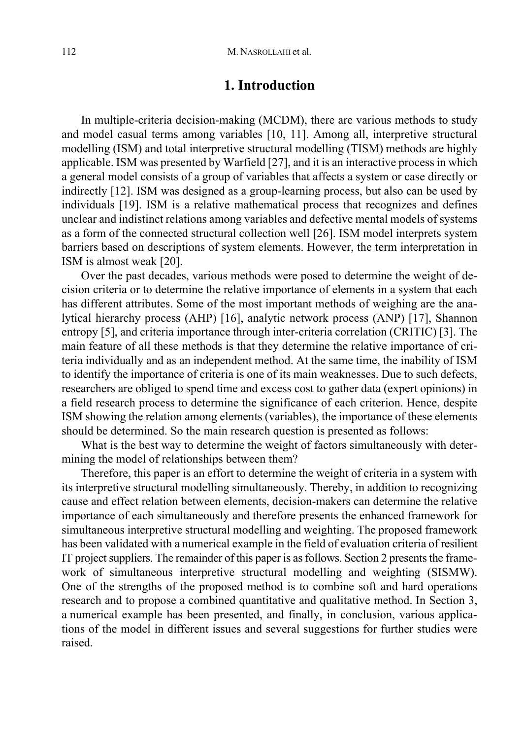### **1. Introduction**

In multiple-criteria decision-making (MCDM), there are various methods to study and model casual terms among variables [10, 11]. Among all, interpretive structural modelling (ISM) and total interpretive structural modelling (TISM) methods are highly applicable. ISM was presented by Warfield [27], and it is an interactive process in which a general model consists of a group of variables that affects a system or case directly or indirectly [12]. ISM was designed as a group-learning process, but also can be used by individuals [19]. ISM is a relative mathematical process that recognizes and defines unclear and indistinct relations among variables and defective mental models of systems as a form of the connected structural collection well [26]. ISM model interprets system barriers based on descriptions of system elements. However, the term interpretation in ISM is almost weak [20].

Over the past decades, various methods were posed to determine the weight of decision criteria or to determine the relative importance of elements in a system that each has different attributes. Some of the most important methods of weighing are the analytical hierarchy process (AHP) [16], analytic network process (ANP) [17], Shannon entropy [5], and criteria importance through inter-criteria correlation (CRITIC) [3]. The main feature of all these methods is that they determine the relative importance of criteria individually and as an independent method. At the same time, the inability of ISM to identify the importance of criteria is one of its main weaknesses. Due to such defects, researchers are obliged to spend time and excess cost to gather data (expert opinions) in a field research process to determine the significance of each criterion. Hence, despite ISM showing the relation among elements (variables), the importance of these elements should be determined. So the main research question is presented as follows:

What is the best way to determine the weight of factors simultaneously with determining the model of relationships between them?

Therefore, this paper is an effort to determine the weight of criteria in a system with its interpretive structural modelling simultaneously. Thereby, in addition to recognizing cause and effect relation between elements, decision-makers can determine the relative importance of each simultaneously and therefore presents the enhanced framework for simultaneous interpretive structural modelling and weighting. The proposed framework has been validated with a numerical example in the field of evaluation criteria of resilient IT project suppliers. The remainder of this paper is as follows. Section 2 presents the framework of simultaneous interpretive structural modelling and weighting (SISMW). One of the strengths of the proposed method is to combine soft and hard operations research and to propose a combined quantitative and qualitative method. In Section 3, a numerical example has been presented, and finally, in conclusion, various applications of the model in different issues and several suggestions for further studies were raised.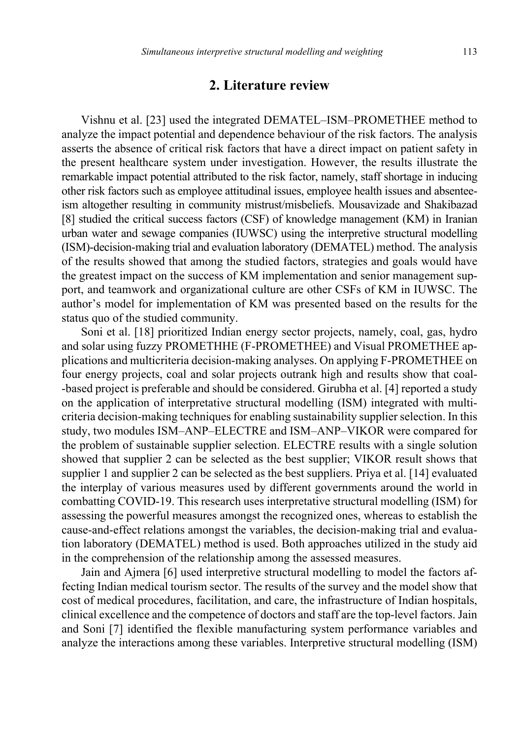### **2. Literature review**

Vishnu et al. [23] used the integrated DEMATEL–ISM–PROMETHEE method to analyze the impact potential and dependence behaviour of the risk factors. The analysis asserts the absence of critical risk factors that have a direct impact on patient safety in the present healthcare system under investigation. However, the results illustrate the remarkable impact potential attributed to the risk factor, namely, staff shortage in inducing other risk factors such as employee attitudinal issues, employee health issues and absenteeism altogether resulting in community mistrust/misbeliefs. Mousavizade and Shakibazad [8] studied the critical success factors (CSF) of knowledge management (KM) in Iranian urban water and sewage companies (IUWSC) using the interpretive structural modelling (ISM)-decision-making trial and evaluation laboratory (DEMATEL) method. The analysis of the results showed that among the studied factors, strategies and goals would have the greatest impact on the success of KM implementation and senior management support, and teamwork and organizational culture are other CSFs of KM in IUWSC. The author's model for implementation of KM was presented based on the results for the status quo of the studied community.

Soni et al. [18] prioritized Indian energy sector projects, namely, coal, gas, hydro and solar using fuzzy PROMETHHE (F-PROMETHEE) and Visual PROMETHEE applications and multicriteria decision-making analyses. On applying F-PROMETHEE on four energy projects, coal and solar projects outrank high and results show that coal- -based project is preferable and should be considered. Girubha et al. [4] reported a study on the application of interpretative structural modelling (ISM) integrated with multicriteria decision-making techniques for enabling sustainability supplier selection. In this study, two modules ISM–ANP–ELECTRE and ISM–ANP–VIKOR were compared for the problem of sustainable supplier selection. ELECTRE results with a single solution showed that supplier 2 can be selected as the best supplier; VIKOR result shows that supplier 1 and supplier 2 can be selected as the best suppliers. Priya et al. [14] evaluated the interplay of various measures used by different governments around the world in combatting COVID-19. This research uses interpretative structural modelling (ISM) for assessing the powerful measures amongst the recognized ones, whereas to establish the cause-and-effect relations amongst the variables, the decision-making trial and evaluation laboratory (DEMATEL) method is used. Both approaches utilized in the study aid in the comprehension of the relationship among the assessed measures.

Jain and Ajmera [6] used interpretive structural modelling to model the factors affecting Indian medical tourism sector. The results of the survey and the model show that cost of medical procedures, facilitation, and care, the infrastructure of Indian hospitals, clinical excellence and the competence of doctors and staff are the top-level factors. Jain and Soni [7] identified the flexible manufacturing system performance variables and analyze the interactions among these variables. Interpretive structural modelling (ISM)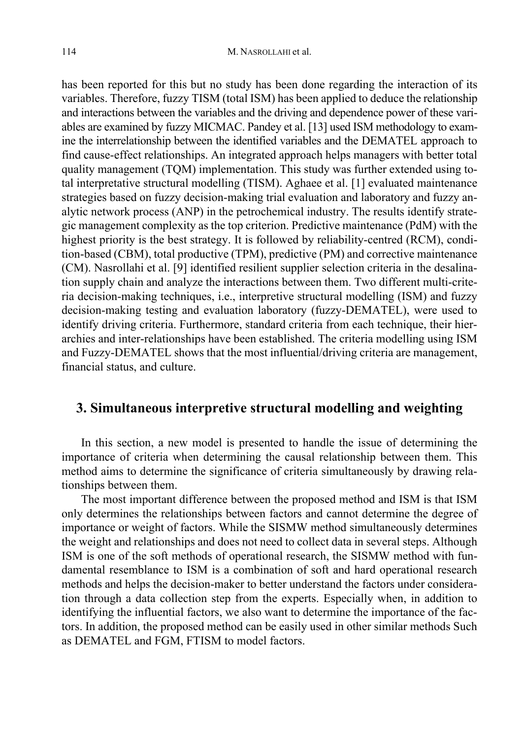has been reported for this but no study has been done regarding the interaction of its variables. Therefore, fuzzy TISM (total ISM) has been applied to deduce the relationship and interactions between the variables and the driving and dependence power of these variables are examined by fuzzy MICMAC. Pandey et al. [13] used ISM methodology to examine the interrelationship between the identified variables and the DEMATEL approach to find cause-effect relationships. An integrated approach helps managers with better total quality management (TQM) implementation. This study was further extended using total interpretative structural modelling (TISM). Aghaee et al. [1] evaluated maintenance strategies based on fuzzy decision-making trial evaluation and laboratory and fuzzy analytic network process (ANP) in the petrochemical industry. The results identify strategic management complexity as the top criterion. Predictive maintenance (PdM) with the highest priority is the best strategy. It is followed by reliability-centred (RCM), condition-based (CBM), total productive (TPM), predictive (PM) and corrective maintenance (CM). Nasrollahi et al. [9] identified resilient supplier selection criteria in the desalination supply chain and analyze the interactions between them. Two different multi-criteria decision-making techniques, i.e., interpretive structural modelling (ISM) and fuzzy decision-making testing and evaluation laboratory (fuzzy-DEMATEL), were used to identify driving criteria. Furthermore, standard criteria from each technique, their hierarchies and inter-relationships have been established. The criteria modelling using ISM and Fuzzy-DEMATEL shows that the most influential/driving criteria are management, financial status, and culture.

# **3. Simultaneous interpretive structural modelling and weighting**

In this section, a new model is presented to handle the issue of determining the importance of criteria when determining the causal relationship between them. This method aims to determine the significance of criteria simultaneously by drawing relationships between them.

The most important difference between the proposed method and ISM is that ISM only determines the relationships between factors and cannot determine the degree of importance or weight of factors. While the SISMW method simultaneously determines the weight and relationships and does not need to collect data in several steps. Although ISM is one of the soft methods of operational research, the SISMW method with fundamental resemblance to ISM is a combination of soft and hard operational research methods and helps the decision-maker to better understand the factors under consideration through a data collection step from the experts. Especially when, in addition to identifying the influential factors, we also want to determine the importance of the factors. In addition, the proposed method can be easily used in other similar methods Such as DEMATEL and FGM, FTISM to model factors.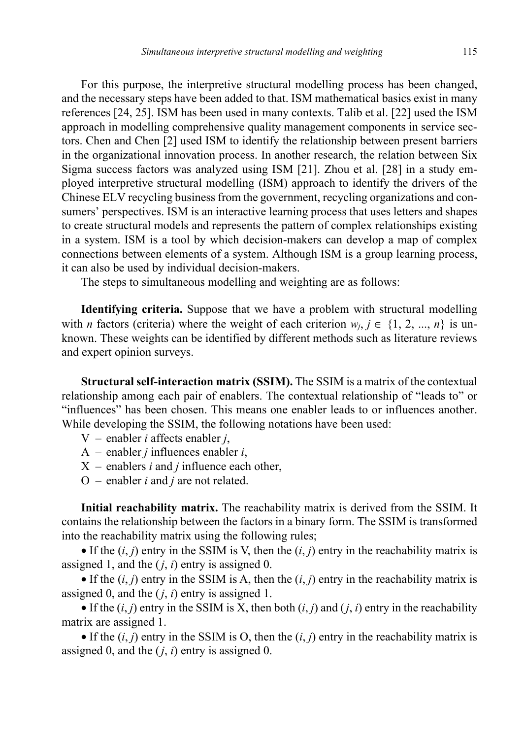For this purpose, the interpretive structural modelling process has been changed, and the necessary steps have been added to that. ISM mathematical basics exist in many references [24, 25]. ISM has been used in many contexts. Talib et al. [22] used the ISM approach in modelling comprehensive quality management components in service sectors. Chen and Chen [2] used ISM to identify the relationship between present barriers in the organizational innovation process. In another research, the relation between Six Sigma success factors was analyzed using ISM [21]. Zhou et al. [28] in a study employed interpretive structural modelling (ISM) approach to identify the drivers of the Chinese ELV recycling business from the government, recycling organizations and consumers' perspectives. ISM is an interactive learning process that uses letters and shapes to create structural models and represents the pattern of complex relationships existing in a system. ISM is a tool by which decision-makers can develop a map of complex connections between elements of a system. Although ISM is a group learning process, it can also be used by individual decision-makers.

The steps to simultaneous modelling and weighting are as follows:

**Identifying criteria.** Suppose that we have a problem with structural modelling with *n* factors (criteria) where the weight of each criterion  $w_i$ ,  $j \in \{1, 2, ..., n\}$  is unknown. These weights can be identified by different methods such as literature reviews and expert opinion surveys.

**Structural self-interaction matrix (SSIM).** The SSIM is a matrix of the contextual relationship among each pair of enablers. The contextual relationship of "leads to" or "influences" has been chosen. This means one enabler leads to or influences another. While developing the SSIM, the following notations have been used:

- V enabler *i* affects enabler *j*,
- A enabler *j* influences enabler *i*,
- X enablers *i* and *j* influence each other,
- O enabler *i* and *j* are not related.

**Initial reachability matrix.** The reachability matrix is derived from the SSIM. It contains the relationship between the factors in a binary form. The SSIM is transformed into the reachability matrix using the following rules;

• If the  $(i, j)$  entry in the SSIM is V, then the  $(i, j)$  entry in the reachability matrix is assigned 1, and the  $(i, i)$  entry is assigned 0.

• If the  $(i, j)$  entry in the SSIM is A, then the  $(i, j)$  entry in the reachability matrix is assigned 0, and the (*j*, *i*) entry is assigned 1.

• If the  $(i, j)$  entry in the SSIM is X, then both  $(i, j)$  and  $(j, i)$  entry in the reachability matrix are assigned 1.

• If the  $(i, j)$  entry in the SSIM is O, then the  $(i, j)$  entry in the reachability matrix is assigned 0, and the (*j*, *i*) entry is assigned 0.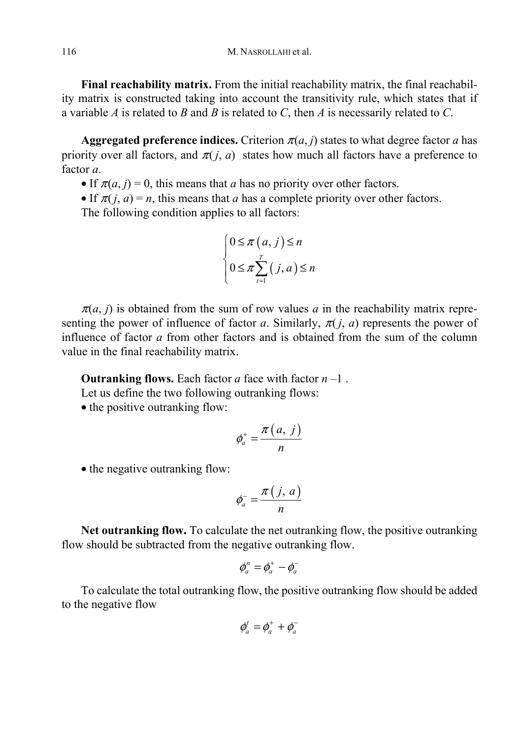**Final reachability matrix.** From the initial reachability matrix, the final reachability matrix is constructed taking into account the transitivity rule, which states that if a variable *A* is related to *B* and *B* is related to *C*, then *A* is necessarily related to *C*.

**Aggregated preference indices.** Criterion  $\pi(a, j)$  states to what degree factor *a* has priority over all factors, and  $\pi(j, a)$  states how much all factors have a preference to factor *a*.

• If  $\pi(a, j) = 0$ , this means that *a* has no priority over other factors.

• If  $\pi(i, a) = n$ , this means that *a* has a complete priority over other factors. The following condition applies to all factors:

$$
\begin{cases} 0 \le \pi (a, j) \le n \\ 0 \le \pi \sum_{i=1}^r (j, a) \le n \end{cases}
$$

 $\pi(a, j)$  is obtained from the sum of row values *a* in the reachability matrix representing the power of influence of factor *a*. Similarly,  $\pi(i, a)$  represents the power of influence of factor *a* from other factors and is obtained from the sum of the column value in the final reachability matrix.

**Outranking flows.** Each factor *a* face with factor  $n-1$ .

Let us define the two following outranking flows:

• the positive outranking flow:

$$
\phi_a^+ = \frac{\pi(a, j)}{n}
$$

• the negative outranking flow:

$$
\phi_a^- = \frac{\pi(j, a)}{n}
$$

**Net outranking flow.** To calculate the net outranking flow, the positive outranking flow should be subtracted from the negative outranking flow.

$$
\phi_a^n = \phi_a^+ - \phi_a^-
$$

To calculate the total outranking flow, the positive outranking flow should be added to the negative flow

$$
\phi_a^t = \phi_a^+ + \phi_a^-
$$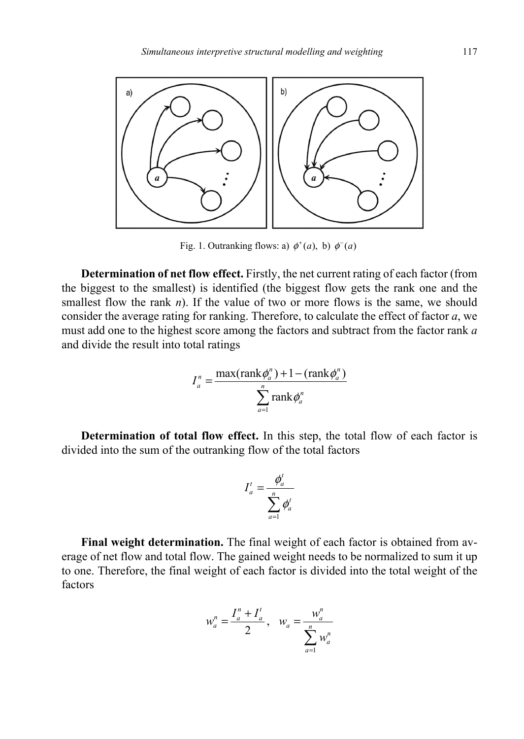

Fig. 1. Outranking flows: a)  $\phi^+(a)$ , b)  $\phi^-(a)$ 

**Determination of net flow effect.** Firstly, the net current rating of each factor (from the biggest to the smallest) is identified (the biggest flow gets the rank one and the smallest flow the rank *n*). If the value of two or more flows is the same, we should consider the average rating for ranking. Therefore, to calculate the effect of factor *a*, we must add one to the highest score among the factors and subtract from the factor rank *a* and divide the result into total ratings

$$
I_a^n = \frac{\max(\text{rank}\phi_a^n) + 1 - (\text{rank}\phi_a^n)}{\sum_{a=1}^n \text{rank}\phi_a^n}
$$

**Determination of total flow effect.** In this step, the total flow of each factor is divided into the sum of the outranking flow of the total factors

$$
I_a^t = \frac{\phi_a^t}{\sum_{a=1}^n \phi_a^t}
$$

**Final weight determination.** The final weight of each factor is obtained from average of net flow and total flow. The gained weight needs to be normalized to sum it up to one. Therefore, the final weight of each factor is divided into the total weight of the factors

$$
w_a^n = \frac{I_a^n + I_a^t}{2}, \quad w_a = \frac{w_a^n}{\sum_{a=1}^n w_a^n}
$$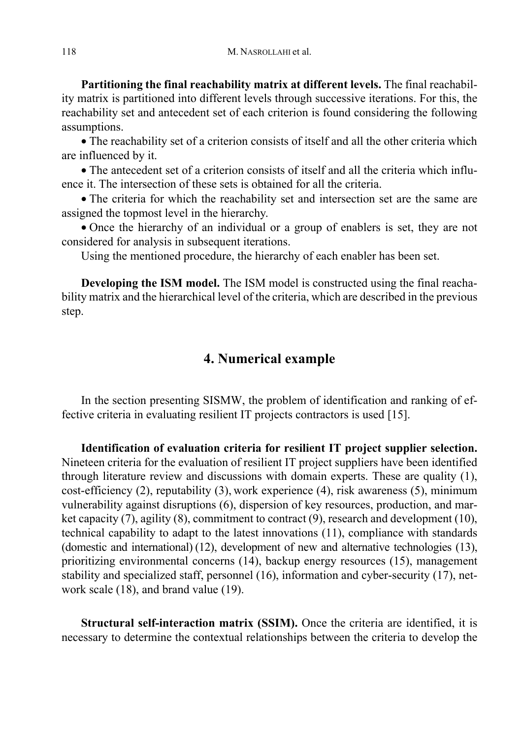**Partitioning the final reachability matrix at different levels.** The final reachability matrix is partitioned into different levels through successive iterations. For this, the reachability set and antecedent set of each criterion is found considering the following assumptions.

• The reachability set of a criterion consists of itself and all the other criteria which are influenced by it.

• The antecedent set of a criterion consists of itself and all the criteria which influence it. The intersection of these sets is obtained for all the criteria.

• The criteria for which the reachability set and intersection set are the same are assigned the topmost level in the hierarchy.

• Once the hierarchy of an individual or a group of enablers is set, they are not considered for analysis in subsequent iterations.

Using the mentioned procedure, the hierarchy of each enabler has been set.

**Developing the ISM model.** The ISM model is constructed using the final reachability matrix and the hierarchical level of the criteria, which are described in the previous step.

## **4. Numerical example**

In the section presenting SISMW, the problem of identification and ranking of effective criteria in evaluating resilient IT projects contractors is used [15].

**Identification of evaluation criteria for resilient IT project supplier selection.** Nineteen criteria for the evaluation of resilient IT project suppliers have been identified through literature review and discussions with domain experts. These are quality (1), cost-efficiency (2), reputability (3), work experience (4), risk awareness (5), minimum vulnerability against disruptions (6), dispersion of key resources, production, and market capacity (7), agility (8), commitment to contract (9), research and development (10), technical capability to adapt to the latest innovations (11), compliance with standards (domestic and international) (12), development of new and alternative technologies (13), prioritizing environmental concerns (14), backup energy resources (15), management stability and specialized staff, personnel (16), information and cyber-security (17), network scale (18), and brand value (19).

**Structural self-interaction matrix (SSIM).** Once the criteria are identified, it is necessary to determine the contextual relationships between the criteria to develop the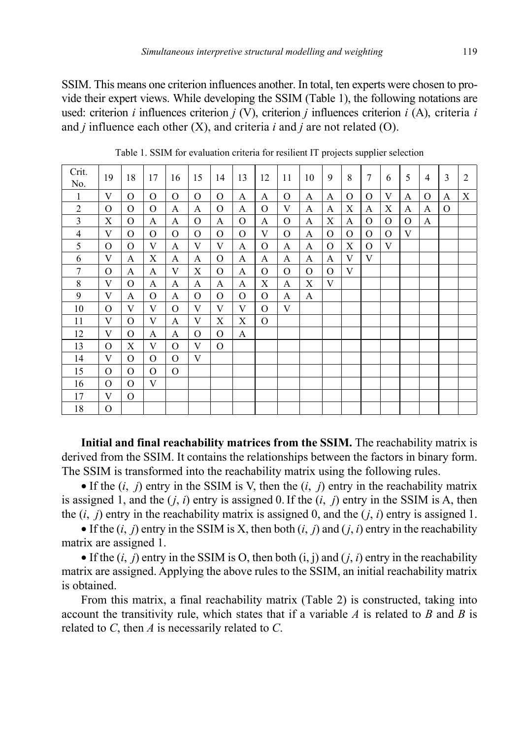SSIM. This means one criterion influences another. In total, ten experts were chosen to provide their expert views. While developing the SSIM (Table 1), the following notations are used: criterion *i* influences criterion *j* (V), criterion *j* influences criterion *i* (A), criteria *i*  and *j* influence each other (X), and criteria *i* and *j* are not related (O).

| Crit.<br>No.   | 19            | 18             | 17             | 16             | 15             | 14             | 13            | 12             | 11            | 10            | 9              | 8             | 7        | 6             | 5             | $\overline{4}$ | 3        | $\overline{2}$ |
|----------------|---------------|----------------|----------------|----------------|----------------|----------------|---------------|----------------|---------------|---------------|----------------|---------------|----------|---------------|---------------|----------------|----------|----------------|
| $\mathbf{1}$   | V             | $\mathcal{O}$  | $\mathcal{O}$  | $\overline{O}$ | $\mathcal{O}$  | $\mathcal{O}$  | $\mathbf{A}$  | A              | $\mathcal{O}$ | $\mathbf{A}$  | A              | $\mathcal{O}$ | $\Omega$ | V             | A             | $\mathcal{O}$  | A        | X              |
| $\overline{2}$ | О             | $\mathcal{O}$  | O              | A              | A              | $\mathcal{O}$  | A             | $\mathcal{O}$  | V             | A             | A              | $\mathbf X$   | A        | X             | A             | A              | $\Omega$ |                |
| 3              | X             | $\mathcal{O}$  | A              | A              | $\mathcal{O}$  | A              | $\mathcal{O}$ | A              | $\mathcal{O}$ | A             | X              | A             | $\Omega$ | $\mathcal{O}$ | $\mathcal{O}$ | A              |          |                |
| $\overline{4}$ | V             | $\overline{O}$ | $\overline{O}$ | $\mathcal{O}$  | $\mathcal{O}$  | $\mathcal{O}$  | $\mathcal{O}$ | V              | $\mathcal{O}$ | $\mathbf{A}$  | $\overline{O}$ | $\mathbf{O}$  | $\Omega$ | $\Omega$      | V             |                |          |                |
| 5              | $\Omega$      | $\mathcal{O}$  | V              | A              | V              | V              | A             | $\mathcal{O}$  | A             | A             | $\overline{O}$ | X             | $\Omega$ | V             |               |                |          |                |
| 6              | V             | A              | X              | A              | A              | $\mathcal{O}$  | A             | A              | A             | $\mathbf{A}$  | A              | V             | V        |               |               |                |          |                |
| 7              | $\mathcal{O}$ | A              | A              | V              | X              | $\overline{O}$ | A             | $\overline{O}$ | $\mathcal{O}$ | $\mathcal{O}$ | $\overline{O}$ | V             |          |               |               |                |          |                |
| $\,$ 8 $\,$    | V             | $\mathcal{O}$  | A              | A              | A              | A              | A             | X              | A             | X             | V              |               |          |               |               |                |          |                |
| 9              | V             | A              | O              | A              | O              | $\mathcal{O}$  | $\mathcal{O}$ | $\mathcal{O}$  | $\mathbf{A}$  | $\mathbf{A}$  |                |               |          |               |               |                |          |                |
| 10             | O             | V              | V              | $\mathcal{O}$  | V              | V              | V             | $\mathcal{O}$  | V             |               |                |               |          |               |               |                |          |                |
| 11             | V             | $\mathcal{O}$  | V              | A              | V              | X              | X             | $\Omega$       |               |               |                |               |          |               |               |                |          |                |
| 12             | V             | $\mathcal{O}$  | A              | A              | $\overline{O}$ | $\overline{O}$ | $\mathbf{A}$  |                |               |               |                |               |          |               |               |                |          |                |
| 13             | $\Omega$      | X              | V              | $\mathbf{O}$   | V              | $\overline{O}$ |               |                |               |               |                |               |          |               |               |                |          |                |
| 14             | V             | $\mathcal{O}$  | $\mathcal{O}$  | $\overline{O}$ | V              |                |               |                |               |               |                |               |          |               |               |                |          |                |
| 15             | $\Omega$      | 0              | $\Omega$       | $\mathcal{O}$  |                |                |               |                |               |               |                |               |          |               |               |                |          |                |
| 16             | $\mathcal{O}$ | $\mathcal{O}$  | V              |                |                |                |               |                |               |               |                |               |          |               |               |                |          |                |
| 17             | V             | $\mathcal{O}$  |                |                |                |                |               |                |               |               |                |               |          |               |               |                |          |                |
| 18             | $\mathcal{O}$ |                |                |                |                |                |               |                |               |               |                |               |          |               |               |                |          |                |

Table 1. SSIM for evaluation criteria for resilient IT projects supplier selection

**Initial and final reachability matrices from the SSIM.** The reachability matrix is derived from the SSIM. It contains the relationships between the factors in binary form. The SSIM is transformed into the reachability matrix using the following rules.

• If the  $(i, j)$  entry in the SSIM is V, then the  $(i, j)$  entry in the reachability matrix is assigned 1, and the  $(i, i)$  entry is assigned 0. If the  $(i, j)$  entry in the SSIM is A, then the  $(i, j)$  entry in the reachability matrix is assigned 0, and the  $(j, i)$  entry is assigned 1.

• If the  $(i, j)$  entry in the SSIM is X, then both  $(i, j)$  and  $(j, i)$  entry in the reachability matrix are assigned 1.

• If the  $(i, j)$  entry in the SSIM is O, then both  $(i, j)$  and  $(j, i)$  entry in the reachability matrix are assigned. Applying the above rules to the SSIM, an initial reachability matrix is obtained.

From this matrix, a final reachability matrix (Table 2) is constructed, taking into account the transitivity rule, which states that if a variable  $\Lambda$  is related to  $\Lambda$  and  $\Lambda$  is related to *C*, then *A* is necessarily related to *C*.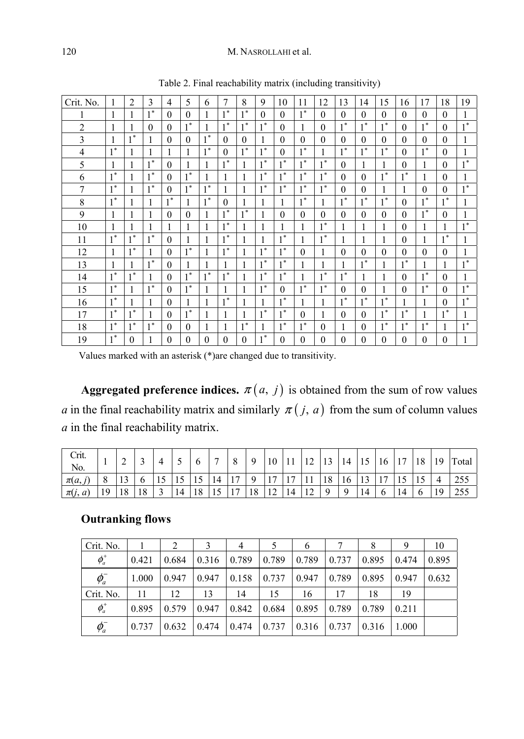#### 120 M. NASROLLAHI et al.

| Crit. No.      |       | $\overline{2}$ | 3                    | 4        | 5        | 6        | 7        | 8              | 9         | 10          | 11             | 12       | 13       | 14       | 15         | 16          | 17       | 18       | 19    |
|----------------|-------|----------------|----------------------|----------|----------|----------|----------|----------------|-----------|-------------|----------------|----------|----------|----------|------------|-------------|----------|----------|-------|
| 1              | 1     | 1              | $1^*$                | $\Omega$ | $\Omega$ | 1        | $1^*$    | 1 *            | $\theta$  | $\Omega$    | $1^*$          | $\theta$ | $\theta$ | $\theta$ | $\theta$   | $\theta$    | $\Omega$ | $\Omega$ |       |
| $\overline{2}$ |       | 1              | $\theta$             | $\Omega$ | $1^*$    | 1        | $1^*$    | $1*$           | $1*$      | $\Omega$    | 1              | 0        | $1^*$    | $1^*$    | $1^*$      | $\Omega$    | $1^*$    | $\Omega$ | $1*$  |
| 3              | 1     | $1^*$          | 1                    | $\Omega$ | $\Omega$ | $1^*$    | $\Omega$ | $\Omega$       | 1         | $\Omega$    | $\Omega$       | $\Omega$ | $\theta$ | $\theta$ | $\theta$   | $\theta$    | $\Omega$ | $\Omega$ | 1     |
| $\overline{4}$ | $1*$  | 1              | 1                    | 1        |          | $1^*$    | $\Omega$ | $1*$           | $1*$<br>1 | $\Omega$    | $1*$           | 1        | $1*$     | $1*$     | $1*$<br>Ι. | $\theta$    | $1*$     | $\theta$ |       |
| 5              | 1     | 1              | $1^*$                | $\Omega$ |          | 1        | $1^*$    |                | $1^*$     | $\ast$      | $1^*$          | $1^*$    | $\theta$ | 1        | 1          | $\theta$    |          | $\theta$ | $1*$  |
| 6              | $1^*$ | 1              | $1^*$                | $\Omega$ | $1^*$    | 1        | 1        |                | $1^*$     | $1^*$       | $1*$           | $1^*$    | $\theta$ | $\theta$ | $1^*$      | $\ast$      |          | $\theta$ |       |
| 7              | $1 *$ | 1              | $1*$<br>$\mathbf{I}$ | $\Omega$ | 1 *      | $1^*$    |          |                | $1^*$     | $\ast$      | 1 *            | $1 *$    | $\theta$ | $\theta$ | 1          | 1           | $\Omega$ | $\Omega$ | $1*$  |
| 8              | $1*$  | 1              | 1                    | 1 *      |          | $1^*$    | $\Omega$ |                | 1         |             | $\mathbf{1}^*$ |          | 宋        | $1^*$    | $1*$       | $\theta$    | $1*$     | $1*$     |       |
| $\mathbf Q$    | 1     | 1              | 1                    | $\theta$ | $\Omega$ | 1        | $1*$     | $1*$           | 1         | $\Omega$    | $\theta$       | $\Omega$ | $\theta$ | $\theta$ | $\theta$   | $\theta$    | $1*$     | $\Omega$ |       |
| 10             |       | 1              | 1                    |          |          | 1        | $1^*$    | I.             | 1         | 1           | 1              | $1^*$    | 1        | 1        | 1          | $\theta$    |          |          | $1*$  |
| 11             | $1*$  | $\ast$<br>٠    | $1*$                 | $\theta$ |          | 1        | $1*$     |                | 1         | $1*$        | 1              | $1^*$    | 1        | 1        | 1          | $\theta$    | 1        | $1*$     |       |
| 12             | 1     | $\ast$<br>1    | 1                    | $\Omega$ | $1^*$    | 1        | $1^*$    |                | $1^*$     | $1*$        | $\theta$       | 1        | $\theta$ | $\theta$ | $\theta$   | $\theta$    | $\Omega$ | $\Omega$ |       |
| 13             | 1     | 1              | $1^*$                | $\theta$ |          | 1        | 1        |                | $1^*$     | $\ast$      |                | 1        | 1        | $1^*$    | 1          | $\ast$<br>1 |          |          | $1^*$ |
| 14             | 1*    | 寒              | 1                    | $\Omega$ | 1*       | $1^*$    | $1*$     |                | $1*$      | $\ast$      |                | $1*$     | 冰        | 1        | 1          | $\theta$    | 1 *      | $\Omega$ |       |
| 15             | $1^*$ | 1              | $1*$                 | $\Omega$ | $1^*$    | 1        |          |                | $1^*$     | $\Omega$    | 1 *            | $1^*$    | $\theta$ | $\theta$ | 1          | $\theta$    | $1^*$    | $\Omega$ | $1*$  |
| 16             | $1*$  | 1              | 1                    | $\Omega$ |          | 1        | $1*$     |                | 1         | $1^*$       | 1              |          | $1*$     | $1*$     | $1*$       |             | 1        | $\theta$ | $1*$  |
| 17             | $1*$  | $1*$           | 1                    | $\Omega$ | $1*$     | 1        |          |                | $1*$      | $1 *$       | $\Omega$       |          | $\theta$ | $\theta$ | $1*$<br>L  | $1*$        |          | 1 米      |       |
| 18             | $1^*$ | $1*$           | $1^*$                | $\theta$ | $\theta$ | 1        | 1        | $\mathbf{l}^*$ | 1         | $\ast$<br>1 | $1^*$          | $\theta$ | 1        | $\theta$ | $1^*$      | $\ast$      | $1^*$    |          | $1^*$ |
| 19             | $1*$  | $\Omega$       |                      | $\theta$ | $\Omega$ | $\theta$ | $\theta$ | 0              | $1*$      | $\Omega$    | $\theta$       | $\Omega$ | $\theta$ | $\theta$ | $\theta$   | $\theta$    | $\theta$ | $\theta$ |       |

Table 2. Final reachability matrix (including transitivity)

Values marked with an asterisk (\*)are changed due to transitivity.

**Aggregated preference indices.**  $\pi(a, j)$  is obtained from the sum of row values *a* in the final reachability matrix and similarly  $\pi(j, a)$  from the sum of column values *a* in the final reachability matrix.

| Crit.<br>No. |    | ∸  |    |               |    |    |            | 8              |    | 10             |                | 1 <sub>2</sub><br>14 | 1 <sub>2</sub><br>13 | 14  | -12 | 16 | 1 <sub>7</sub> | 18 | 19 | Total |
|--------------|----|----|----|---------------|----|----|------------|----------------|----|----------------|----------------|----------------------|----------------------|-----|-----|----|----------------|----|----|-------|
| $\pi(a,$     |    |    |    | IJ            |    | 12 | 14         | 1 <sub>7</sub> |    | 1 <sub>7</sub> | $\overline{ }$ |                      | 18                   | 16  |     | 17 |                |    |    | 255   |
| $\pi(j, a)$  | 19 | 18 | 18 | $\mathcal{L}$ | 14 | 18 | $\vert$ 15 | 17             | 18 | <sup>12</sup>  | 14             | 12                   | 9                    | . 9 | 14  |    |                |    | 19 | 255   |

## **Outranking flows**

| Crit. No.  |       |       |       | 4     |       | $\mathfrak b$ |       | 8     | 9     | 10    |
|------------|-------|-------|-------|-------|-------|---------------|-------|-------|-------|-------|
| $\phi^+_a$ | 0.421 | 0.684 | 0.316 | 0.789 | 0.789 | 0.789         | 0.737 | 0.895 | 0.474 | 0.895 |
| $\phi_a^-$ | 1.000 | 0.947 | 0.947 | 0.158 | 0.737 | 0.947         | 0.789 | 0.895 | 0.947 | 0.632 |
| Crit. No.  | 11    | 12    | 13    | 14    | 15    | 16            | 17    | 18    | 19    |       |
| $\phi^+_a$ | 0.895 | 0.579 | 0.947 | 0.842 | 0.684 | 0.895         | 0.789 | 0.789 | 0.211 |       |
| $\phi_a^-$ | 0.737 | 0.632 | 0.474 | 0.474 | 0.737 | 0.316         | 0.737 | 0.316 | 1.000 |       |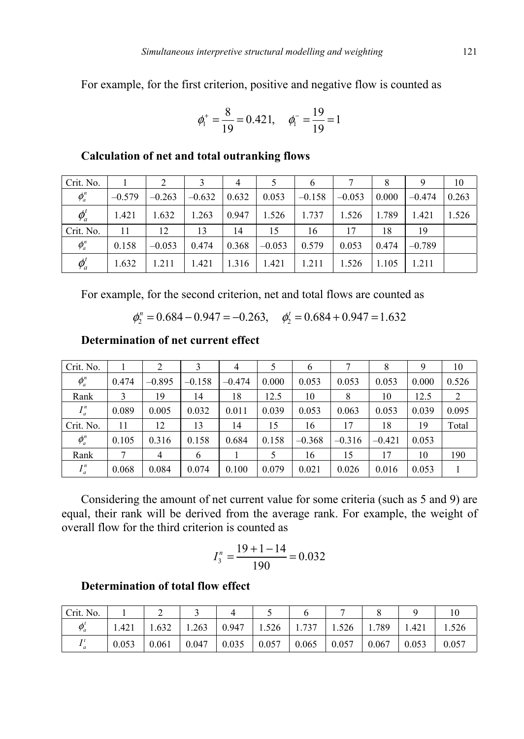For example, for the first criterion, positive and negative flow is counted as

$$
\phi_1^+ = \frac{8}{19} = 0.421, \quad \phi_1^- = \frac{19}{19} = 1
$$

| Crit. No.               |          | 2        |          | $\overline{4}$ |          | 6        |          | 8     |          | 10    |
|-------------------------|----------|----------|----------|----------------|----------|----------|----------|-------|----------|-------|
| $\phi_a^n$              | $-0.579$ | $-0.263$ | $-0.632$ | 0.632          | 0.053    | $-0.158$ | $-0.053$ | 0.000 | $-0.474$ | 0.263 |
| $\phi_a^t$              | 1.421    | 1.632    | 1.263    | 0.947          | 1.526    | 1.737    | 1.526    | 1.789 | 1.421    | 1.526 |
| Crit. No.               | 11       | 12       | 13       | 14             | 15       | 16       | 17       | 18    | 19       |       |
| $\phi_a^n$              | 0.158    | $-0.053$ | 0.474    | 0.368          | $-0.053$ | 0.579    | 0.053    | 0.474 | $-0.789$ |       |
| $\boldsymbol{\phi}_a^t$ | 1.632    | 1.211    | 1.421    | 1.316          | 1.421    | 1.211    | 1.526    | 1.105 | 1.211    |       |

### **Calculation of net and total outranking flows**

For example, for the second criterion, net and total flows are counted as

 $\phi_2^n = 0.684 - 0.947 = -0.263$ ,  $\phi_2^t = 0.684 + 0.947 = 1.632$ 

## **Determination of net current effect**

| Crit. No.  |       |                |          | 4        |       | 6        |          | 8        |       | 10    |
|------------|-------|----------------|----------|----------|-------|----------|----------|----------|-------|-------|
| $\phi_a^n$ | 0.474 | $-0.895$       | $-0.158$ | $-0.474$ | 0.000 | 0.053    | 0.053    | 0.053    | 0.000 | 0.526 |
| Rank       |       | 19             | 14       | 18       | 12.5  | 10       | 8        | 10       | 12.5  | 2     |
| $I_a^n$    | 0.089 | 0.005          | 0.032    | 0.011    | 0.039 | 0.053    | 0.063    | 0.053    | 0.039 | 0.095 |
| Crit. No.  | 11    | 12             | 13       | 14       | 15    | 16       | 17       | 18       | 19    | Total |
| $\phi_a^n$ | 0.105 | 0.316          | 0.158    | 0.684    | 0.158 | $-0.368$ | $-0.316$ | $-0.421$ | 0.053 |       |
| Rank       |       | $\overline{4}$ | 6        |          | 5     | 16       | 15       | 17       | 10    | 190   |
| $I_a^n$    | 0.068 | 0.084          | 0.074    | 0.100    | 0.079 | 0.021    | 0.026    | 0.016    | 0.053 |       |

Considering the amount of net current value for some criteria (such as 5 and 9) are equal, their rank will be derived from the average rank. For example, the weight of overall flow for the third criterion is counted as

$$
I_3^n = \frac{19 + 1 - 14}{190} = 0.032
$$

### **Determination of total flow effect**

| Crit. No.  |       |       |       |       |       |       |       |       |       |         |
|------------|-------|-------|-------|-------|-------|-------|-------|-------|-------|---------|
| $\phi_a^t$ | 1.421 | 1.632 | 1.263 | 0.947 | 1.526 | 1.737 | 1.526 | 1.789 | 1.421 | . . 526 |
|            | 0.053 | 0.061 | 0.047 | 0.035 | 0.057 | 0.065 | 0.057 | 0.067 | 0.053 | 0.057   |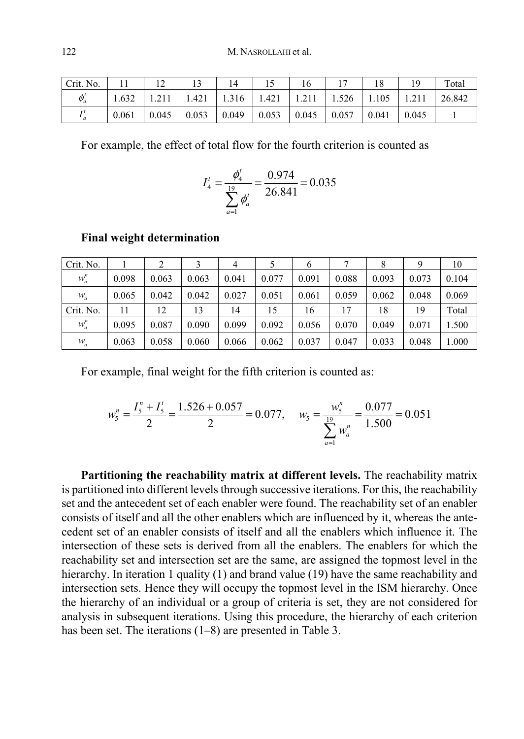| Crit. No.  |       | $\sim$<br>⊥∠ | ιJ    |       |       | 16    |       |       | 19    | Total  |
|------------|-------|--------------|-------|-------|-------|-------|-------|-------|-------|--------|
| $\phi_a^t$ | .632  |              | 1.421 | 1.316 | 1.421 | 1.211 | 1.526 | 1.105 |       | 26.842 |
| τt         | 0.061 | 0.045        | 0.053 | 0.049 | 0.053 | 0.045 | 0.057 | 0.041 | 0.045 |        |

For example, the effect of total flow for the fourth criterion is counted as

$$
I_4^t = \frac{\phi_4^t}{\sum_{\substack{a=1 \ n \neq a}}^{19} \phi_a^t} = \frac{0.974}{26.841} = 0.035
$$

#### **Final weight determination**

| Crit. No. |       |       |       | 4     |       | b     |       | 8     |       | 10    |
|-----------|-------|-------|-------|-------|-------|-------|-------|-------|-------|-------|
| $w_a^n$   | 0.098 | 0.063 | 0.063 | 0.041 | 0.077 | 0.091 | 0.088 | 0.093 | 0.073 | 0.104 |
| $W_a$     | 0.065 | 0.042 | 0.042 | 0.027 | 0.051 | 0.061 | 0.059 | 0.062 | 0.048 | 0.069 |
| Crit. No. | 11    | 12    | 13    | 14    | 15    | 16    | 17    | 18    | 19    | Total |
| $w_a^n$   | 0.095 | 0.087 | 0.090 | 0.099 | 0.092 | 0.056 | 0.070 | 0.049 | 0.071 | 1.500 |
| $W_a$     | 0.063 | 0.058 | 0.060 | 0.066 | 0.062 | 0.037 | 0.047 | 0.033 | 0.048 | 1.000 |

For example, final weight for the fifth criterion is counted as:

$$
w_{5}^{n} = \frac{I_{5}^{n} + I_{5}^{t}}{2} = \frac{1.526 + 0.057}{2} = 0.077, \quad w_{5} = \frac{w_{5}^{n}}{\sum_{a=1}^{19} w_{a}^{n}} = \frac{0.077}{1.500} = 0.051
$$

**Partitioning the reachability matrix at different levels.** The reachability matrix is partitioned into different levels through successive iterations. For this, the reachability set and the antecedent set of each enabler were found. The reachability set of an enabler consists of itself and all the other enablers which are influenced by it, whereas the antecedent set of an enabler consists of itself and all the enablers which influence it. The intersection of these sets is derived from all the enablers. The enablers for which the reachability set and intersection set are the same, are assigned the topmost level in the hierarchy. In iteration 1 quality (1) and brand value (19) have the same reachability and intersection sets. Hence they will occupy the topmost level in the ISM hierarchy. Once the hierarchy of an individual or a group of criteria is set, they are not considered for analysis in subsequent iterations. Using this procedure, the hierarchy of each criterion has been set. The iterations (1–8) are presented in Table 3.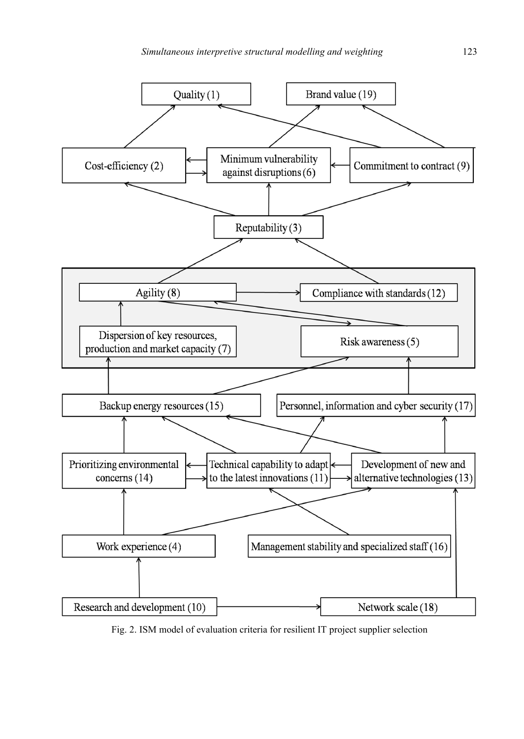

Fig. 2. ISM model of evaluation criteria for resilient IT project supplier selection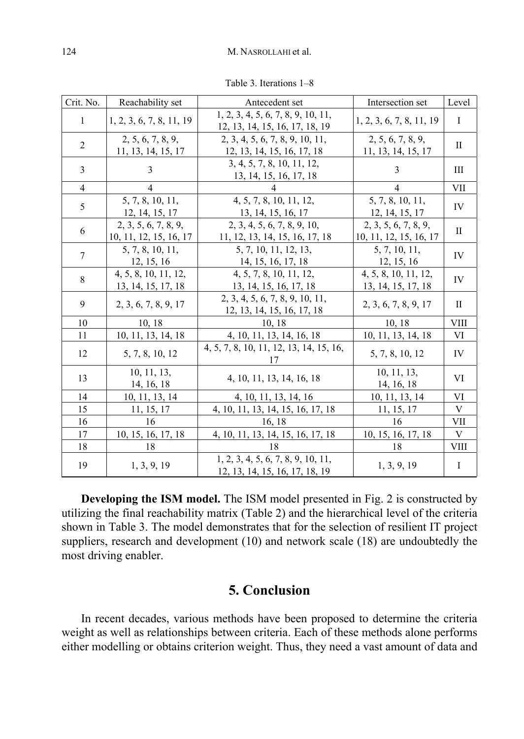| Crit. No.      | Reachability set                               | Antecedent set                                                       | Intersection set                               | Level        |
|----------------|------------------------------------------------|----------------------------------------------------------------------|------------------------------------------------|--------------|
| 1              | 1, 2, 3, 6, 7, 8, 11, 19                       | 1, 2, 3, 4, 5, 6, 7, 8, 9, 10, 11,<br>12, 13, 14, 15, 16, 17, 18, 19 | 1, 2, 3, 6, 7, 8, 11, 19                       | I            |
| $\overline{2}$ | 2, 5, 6, 7, 8, 9,<br>11, 13, 14, 15, 17        | 2, 3, 4, 5, 6, 7, 8, 9, 10, 11,<br>12, 13, 14, 15, 16, 17, 18        | 2, 5, 6, 7, 8, 9,<br>11, 13, 14, 15, 17        | $\mathbf{I}$ |
| 3              | 3                                              | 3, 4, 5, 7, 8, 10, 11, 12,<br>13, 14, 15, 16, 17, 18                 | 3                                              | Ш            |
| $\overline{4}$ | $\overline{4}$                                 | 4                                                                    | $\overline{4}$                                 | VII          |
| 5              | 5, 7, 8, 10, 11,<br>12, 14, 15, 17             | 4, 5, 7, 8, 10, 11, 12,<br>13, 14, 15, 16, 17                        | 5, 7, 8, 10, 11,<br>12, 14, 15, 17             | IV           |
| 6              | 2, 3, 5, 6, 7, 8, 9,<br>10, 11, 12, 15, 16, 17 | 2, 3, 4, 5, 6, 7, 8, 9, 10,<br>11, 12, 13, 14, 15, 16, 17, 18        | 2, 3, 5, 6, 7, 8, 9,<br>10, 11, 12, 15, 16, 17 | $\mathbf{I}$ |
| 7              | 5, 7, 8, 10, 11,<br>12, 15, 16                 | 5, 7, 10, 11, 12, 13,<br>14, 15, 16, 17, 18                          | 5, 7, 10, 11,<br>12, 15, 16                    | IV           |
| 8              | 4, 5, 8, 10, 11, 12,<br>13, 14, 15, 17, 18     | 4, 5, 7, 8, 10, 11, 12,<br>13, 14, 15, 16, 17, 18                    | 4, 5, 8, 10, 11, 12,<br>13, 14, 15, 17, 18     | IV           |
| 9              | 2, 3, 6, 7, 8, 9, 17                           | 2, 3, 4, 5, 6, 7, 8, 9, 10, 11,<br>12, 13, 14, 15, 16, 17, 18        | 2, 3, 6, 7, 8, 9, 17                           | П            |
| 10             | 10, 18                                         | 10.18                                                                | 10, 18                                         | <b>VIII</b>  |
| 11             | 10, 11, 13, 14, 18                             | 4, 10, 11, 13, 14, 16, 18                                            | 10, 11, 13, 14, 18                             | VI           |
| 12             | 5, 7, 8, 10, 12                                | 4, 5, 7, 8, 10, 11, 12, 13, 14, 15, 16,<br>17                        | 5, 7, 8, 10, 12                                | IV           |
| 13             | 10, 11, 13,<br>14, 16, 18                      | 4, 10, 11, 13, 14, 16, 18                                            | 10, 11, 13,<br>14, 16, 18                      | VI           |
| 14             | 10, 11, 13, 14                                 | 4, 10, 11, 13, 14, 16                                                | 10, 11, 13, 14                                 | VI           |
| 15             | 11, 15, 17                                     | 4, 10, 11, 13, 14, 15, 16, 17, 18                                    | 11, 15, 17                                     | V            |
| 16             | 16                                             | 16, 18                                                               | 16                                             | VII          |
| 17             | 10, 15, 16, 17, 18                             | 4, 10, 11, 13, 14, 15, 16, 17, 18                                    | 10, 15, 16, 17, 18                             | V            |
| 18             | 18                                             | 18                                                                   | 18                                             | <b>VIII</b>  |
| 19             | 1, 3, 9, 19                                    | 1, 2, 3, 4, 5, 6, 7, 8, 9, 10, 11,<br>12, 13, 14, 15, 16, 17, 18, 19 | 1, 3, 9, 19                                    | I            |

Table 3. Iterations 1–8

**Developing the ISM model.** The ISM model presented in Fig. 2 is constructed by utilizing the final reachability matrix (Table 2) and the hierarchical level of the criteria shown in Table 3. The model demonstrates that for the selection of resilient IT project suppliers, research and development (10) and network scale (18) are undoubtedly the most driving enabler.

## **5. Conclusion**

In recent decades, various methods have been proposed to determine the criteria weight as well as relationships between criteria. Each of these methods alone performs either modelling or obtains criterion weight. Thus, they need a vast amount of data and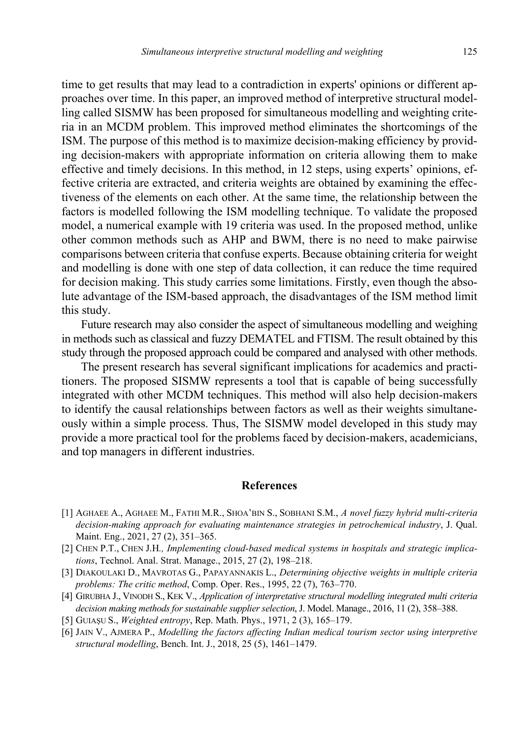time to get results that may lead to a contradiction in experts' opinions or different approaches over time. In this paper, an improved method of interpretive structural modelling called SISMW has been proposed for simultaneous modelling and weighting criteria in an MCDM problem. This improved method eliminates the shortcomings of the ISM. The purpose of this method is to maximize decision-making efficiency by providing decision-makers with appropriate information on criteria allowing them to make effective and timely decisions. In this method, in 12 steps, using experts' opinions, effective criteria are extracted, and criteria weights are obtained by examining the effectiveness of the elements on each other. At the same time, the relationship between the factors is modelled following the ISM modelling technique. To validate the proposed model, a numerical example with 19 criteria was used. In the proposed method, unlike other common methods such as AHP and BWM, there is no need to make pairwise comparisons between criteria that confuse experts. Because obtaining criteria for weight and modelling is done with one step of data collection, it can reduce the time required for decision making. This study carries some limitations. Firstly, even though the absolute advantage of the ISM-based approach, the disadvantages of the ISM method limit this study.

Future research may also consider the aspect of simultaneous modelling and weighing in methods such as classical and fuzzy DEMATEL and FTISM. The result obtained by this study through the proposed approach could be compared and analysed with other methods.

The present research has several significant implications for academics and practitioners. The proposed SISMW represents a tool that is capable of being successfully integrated with other MCDM techniques. This method will also help decision-makers to identify the causal relationships between factors as well as their weights simultaneously within a simple process. Thus, The SISMW model developed in this study may provide a more practical tool for the problems faced by decision-makers, academicians, and top managers in different industries.

#### **References**

- [1] AGHAEE A., AGHAEE M., FATHI M.R., SHOA'BIN S., SOBHANI S.M., *A novel fuzzy hybrid multi-criteria decision-making approach for evaluating maintenance strategies in petrochemical industry*, J. Qual. Maint. Eng., 2021, 27 (2), 351–365.
- [2] CHEN P.T., CHEN J.H*., Implementing cloud-based medical systems in hospitals and strategic implications*, Technol. Anal. Strat. Manage., 2015, 27 (2), 198–218.
- [3] DIAKOULAKI D., MAVROTAS G., PAPAYANNAKIS L., *Determining objective weights in multiple criteria problems: The critic method*, Comp. Oper. Res., 1995, 22 (7), 763–770.
- [4] GIRUBHA J., VINODH S., KEK V., *Application of interpretative structural modelling integrated multi criteria decision making methods for sustainable supplier selection*, J. Model. Manage., 2016, 11 (2), 358–388.
- [5] GUIAŞU S., *Weighted entropy*, Rep. Math. Phys., 1971, 2 (3), 165–179.
- [6] JAIN V., AJMERA P., *Modelling the factors affecting Indian medical tourism sector using interpretive structural modelling*, Bench. Int. J., 2018, 25 (5), 1461–1479.